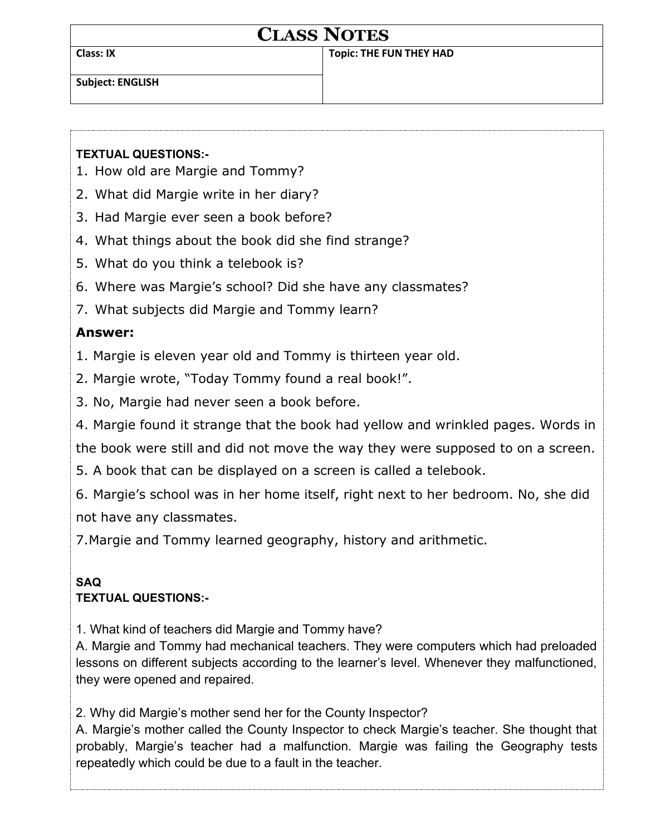| <b>CLASS NOTES</b>      |                                |
|-------------------------|--------------------------------|
| <b>Class: IX</b>        | <b>Topic: THE FUN THEY HAD</b> |
| <b>Subject: ENGLISH</b> |                                |

## **TEXTUAL QUESTIONS:-**

- 1. How old are Margie and Tommy?
- 2. What did Margie write in her diary?
- 3. Had Margie ever seen a book before?
- 4. What things about the book did she find strange?
- 5. What do you think a telebook is?
- 6. Where was Margie's school? Did she have any classmates?
- 7. What subjects did Margie and Tommy learn?

## **Answer:**

- 1. Margie is eleven year old and Tommy is thirteen year old.
- 2. Margie wrote, "Today Tommy found a real book!".
- 3. No, Margie had never seen a book before.
- 4. Margie found it strange that the book had yellow and wrinkled pages. Words in
- the book were still and did not move the way they were supposed to on a screen.
- 5. A book that can be displayed on a screen is called a telebook.
- 6. Margie's school was in her home itself, right next to her bedroom. No, she did not have any classmates.

7.Margie and Tommy learned geography, history and arithmetic.

## **SAQ TEXTUAL QUESTIONS:-**

1. What kind of teachers did Margie and Tommy have?

A. Margie and Tommy had mechanical teachers. They were computers which had preloaded lessons on different subjects according to the learner's level. Whenever they malfunctioned, they were opened and repaired.

2. Why did Margie's mother send her for the County Inspector?

A. Margie's mother called the County Inspector to check Margie's teacher. She thought that probably, Margie's teacher had a malfunction. Margie was failing the Geography tests repeatedly which could be due to a fault in the teacher.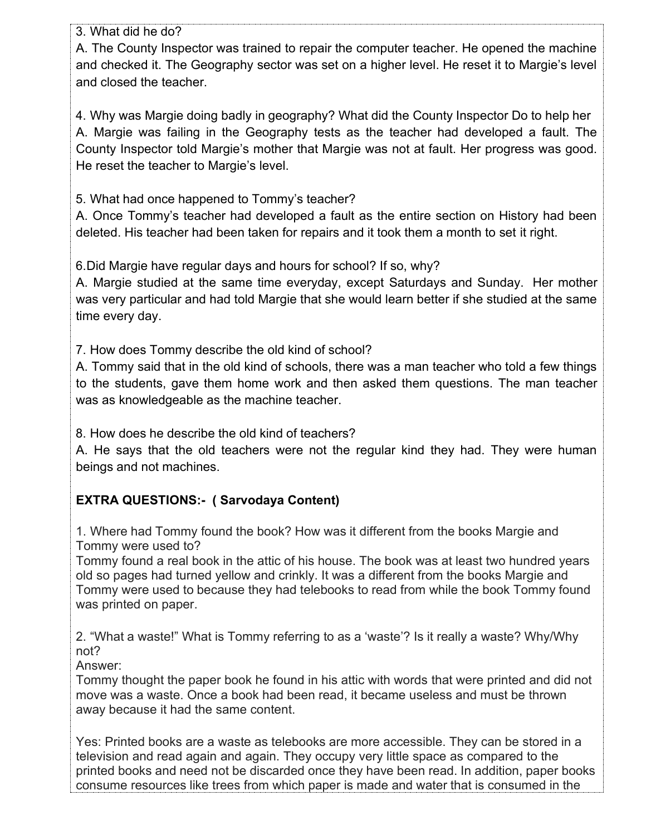3. What did he do?

A. The County Inspector was trained to repair the computer teacher. He opened the machine and checked it. The Geography sector was set on a higher level. He reset it to Margie's level and closed the teacher.

4. Why was Margie doing badly in geography? What did the County Inspector Do to help her A. Margie was failing in the Geography tests as the teacher had developed a fault. The County Inspector told Margie's mother that Margie was not at fault. Her progress was good. He reset the teacher to Margie's level.

5. What had once happened to Tommy's teacher?

A. Once Tommy's teacher had developed a fault as the entire section on History had been deleted. His teacher had been taken for repairs and it took them a month to set it right.

6.Did Margie have regular days and hours for school? If so, why?

A. Margie studied at the same time everyday, except Saturdays and Sunday. Her mother was very particular and had told Margie that she would learn better if she studied at the same time every day.

7. How does Tommy describe the old kind of school?

A. Tommy said that in the old kind of schools, there was a man teacher who told a few things to the students, gave them home work and then asked them questions. The man teacher was as knowledgeable as the machine teacher.

8. How does he describe the old kind of teachers?

A. He says that the old teachers were not the regular kind they had. They were human beings and not machines.

# **EXTRA QUESTIONS:- ( Sarvodaya Content)**

1. Where had Tommy found the book? How was it different from the books Margie and Tommy were used to?

Tommy found a real book in the attic of his house. The book was at least two hundred years old so pages had turned yellow and crinkly. It was a different from the books Margie and Tommy were used to because they had telebooks to read from while the book Tommy found was printed on paper.

2. "What a waste!" What is Tommy referring to as a 'waste'? Is it really a waste? Why/Why not?

Answer:

Tommy thought the paper book he found in his attic with words that were printed and did not move was a waste. Once a book had been read, it became useless and must be thrown away because it had the same content.

Yes: Printed books are a waste as telebooks are more accessible. They can be stored in a television and read again and again. They occupy very little space as compared to the printed books and need not be discarded once they have been read. In addition, paper books consume resources like trees from which paper is made and water that is consumed in the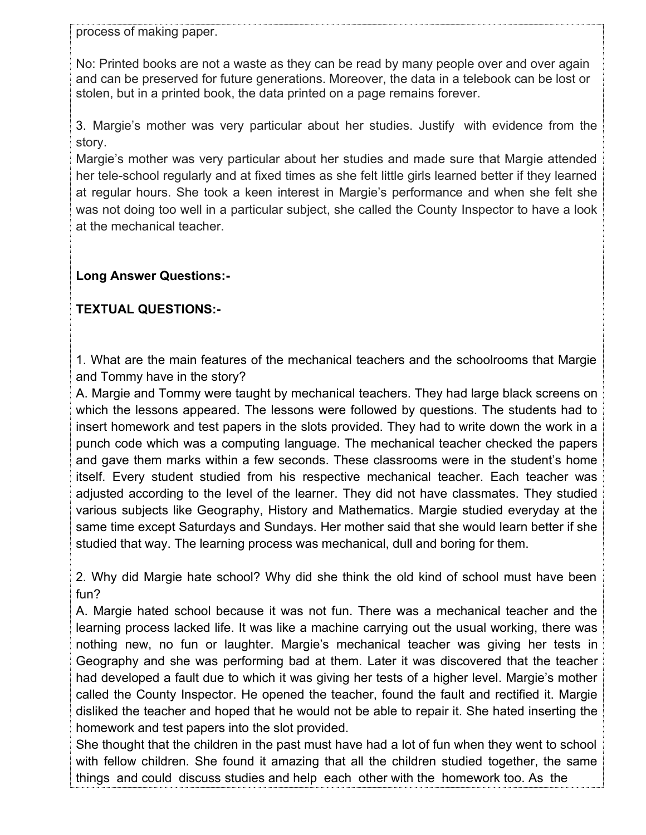process of making paper.

No: Printed books are not a waste as they can be read by many people over and over again and can be preserved for future generations. Moreover, the data in a telebook can be lost or stolen, but in a printed book, the data printed on a page remains forever.

3. Margie's mother was very particular about her studies. Justify with evidence from the story.

Margie's mother was very particular about her studies and made sure that Margie attended her tele-school regularly and at fixed times as she felt little girls learned better if they learned at regular hours. She took a keen interest in Margie's performance and when she felt she was not doing too well in a particular subject, she called the County Inspector to have a look at the mechanical teacher.

## **Long Answer Questions:-**

## **TEXTUAL QUESTIONS:-**

1. What are the main features of the mechanical teachers and the schoolrooms that Margie and Tommy have in the story?

A. Margie and Tommy were taught by mechanical teachers. They had large black screens on which the lessons appeared. The lessons were followed by questions. The students had to insert homework and test papers in the slots provided. They had to write down the work in a punch code which was a computing language. The mechanical teacher checked the papers and gave them marks within a few seconds. These classrooms were in the student's home itself. Every student studied from his respective mechanical teacher. Each teacher was adjusted according to the level of the learner. They did not have classmates. They studied various subjects like Geography, History and Mathematics. Margie studied everyday at the same time except Saturdays and Sundays. Her mother said that she would learn better if she studied that way. The learning process was mechanical, dull and boring for them.

2. Why did Margie hate school? Why did she think the old kind of school must have been fun?

A. Margie hated school because it was not fun. There was a mechanical teacher and the learning process lacked life. It was like a machine carrying out the usual working, there was nothing new, no fun or laughter. Margie's mechanical teacher was giving her tests in Geography and she was performing bad at them. Later it was discovered that the teacher had developed a fault due to which it was giving her tests of a higher level. Margie's mother called the County Inspector. He opened the teacher, found the fault and rectified it. Margie disliked the teacher and hoped that he would not be able to repair it. She hated inserting the homework and test papers into the slot provided.

She thought that the children in the past must have had a lot of fun when they went to school with fellow children. She found it amazing that all the children studied together, the same things and could discuss studies and help each other with the homework too. As the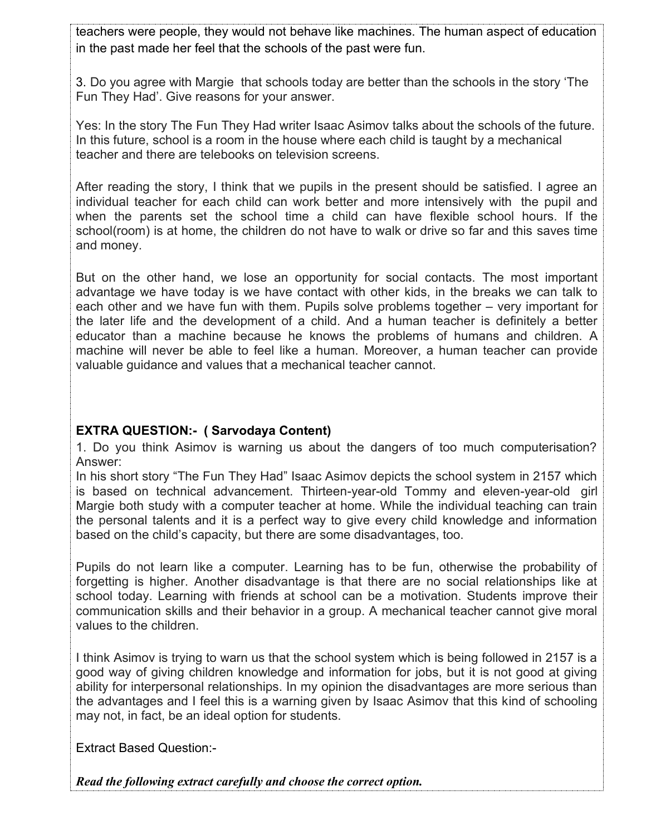teachers were people, they would not behave like machines. The human aspect of education in the past made her feel that the schools of the past were fun.

3. Do you agree with Margie that schools today are better than the schools in the story 'The Fun They Had'. Give reasons for your answer.

Yes: In the story The Fun They Had writer Isaac Asimov talks about the schools of the future. In this future, school is a room in the house where each child is taught by a mechanical teacher and there are telebooks on television screens.

After reading the story, I think that we pupils in the present should be satisfied. I agree an individual teacher for each child can work better and more intensively with the pupil and when the parents set the school time a child can have flexible school hours. If the school(room) is at home, the children do not have to walk or drive so far and this saves time and money.

But on the other hand, we lose an opportunity for social contacts. The most important advantage we have today is we have contact with other kids, in the breaks we can talk to each other and we have fun with them. Pupils solve problems together – very important for the later life and the development of a child. And a human teacher is definitely a better educator than a machine because he knows the problems of humans and children. A machine will never be able to feel like a human. Moreover, a human teacher can provide valuable guidance and values that a mechanical teacher cannot.

#### **EXTRA QUESTION:- ( Sarvodaya Content)**

1. Do you think Asimov is warning us about the dangers of too much computerisation? Answer:

In his short story "The Fun They Had" Isaac Asimov depicts the school system in 2157 which is based on technical advancement. Thirteen-year-old Tommy and eleven-year-old girl Margie both study with a computer teacher at home. While the individual teaching can train the personal talents and it is a perfect way to give every child knowledge and information based on the child's capacity, but there are some disadvantages, too.

Pupils do not learn like a computer. Learning has to be fun, otherwise the probability of forgetting is higher. Another disadvantage is that there are no social relationships like at school today. Learning with friends at school can be a motivation. Students improve their communication skills and their behavior in a group. A mechanical teacher cannot give moral values to the children.

I think Asimov is trying to warn us that the school system which is being followed in 2157 is a good way of giving children knowledge and information for jobs, but it is not good at giving ability for interpersonal relationships. In my opinion the disadvantages are more serious than the advantages and I feel this is a warning given by Isaac Asimov that this kind of schooling may not, in fact, be an ideal option for students.

Extract Based Question:-

*Read the following extract carefully and choose the correct option.*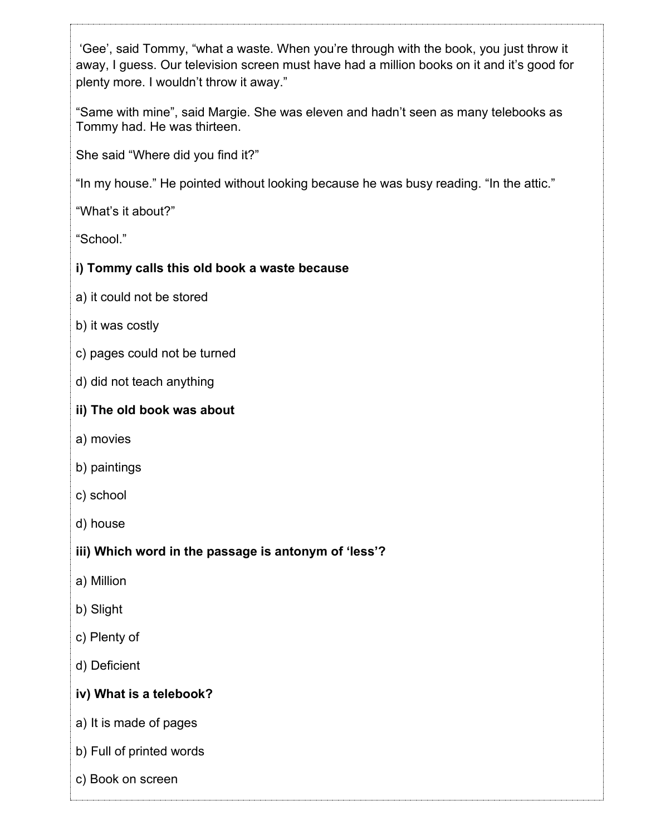'Gee', said Tommy, "what a waste. When you're through with the book, you just throw it away, I guess. Our television screen must have had a million books on it and it's good for plenty more. I wouldn't throw it away."

"Same with mine", said Margie. She was eleven and hadn't seen as many telebooks as Tommy had. He was thirteen.

She said "Where did you find it?"

"In my house." He pointed without looking because he was busy reading. "In the attic."

"What's it about?"

"School."

## **i) Tommy calls this old book a waste because**

- a) it could not be stored
- b) it was costly
- c) pages could not be turned
- d) did not teach anything

#### **ii) The old book was about**

- a) movies
- b) paintings
- c) school
- d) house

## **iii) Which word in the passage is antonym of 'less'?**

- a) Million
- b) Slight
- c) Plenty of
- d) Deficient

## **iv) What is a telebook?**

- a) It is made of pages
- b) Full of printed words
- c) Book on screen